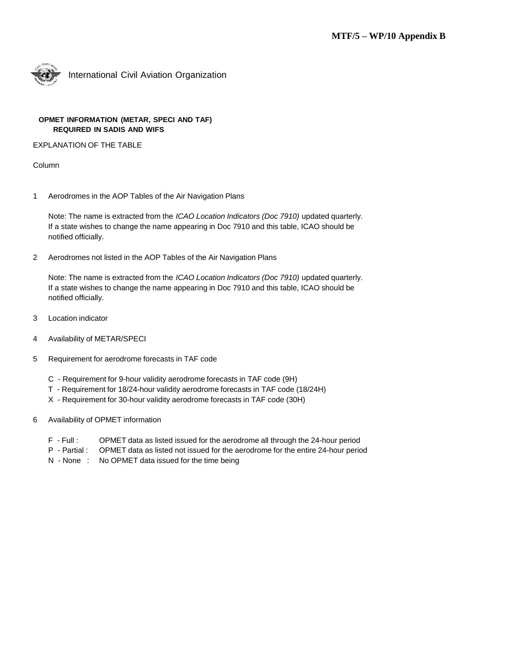

International Civil Aviation Organization

## **OPMET INFORMATION (METAR, SPECI AND TAF) REQUIRED IN SADIS AND WIFS**

EXPLANATION OF THE TABLE

Column

1 Aerodromes in the AOP Tables of the Air Navigation Plans

Note: The name is extracted from the *ICAO Location Indicators (Doc 7910)* updated quarterly*.* If a state wishes to change the name appearing in Doc 7910 and this table, ICAO should be notified officially.

2 Aerodromes not listed in the AOP Tables of the Air Navigation Plans

Note: The name is extracted from the *ICAO Location Indicators (Doc 7910)* updated quarterly*.* If a state wishes to change the name appearing in Doc 7910 and this table, ICAO should be notified officially.

- 3 Location indicator
- 4 Availability of METAR/SPECI
- 5 Requirement for aerodrome forecasts in TAF code
	- C Requirement for 9-hour validity aerodrome forecasts in TAF code (9H)
	- T Requirement for 18/24-hour validity aerodrome forecasts in TAF code (18/24H)
	- X Requirement for 30-hour validity aerodrome forecasts in TAF code (30H)
- 6 Availability of OPMET information
	- F Full : OPMET data as listed issued for the aerodrome all through the 24-hour period
	- P Partial : OPMET data as listed not issued for the aerodrome for the entire 24-hour period
	- N None : No OPMET data issued for the time being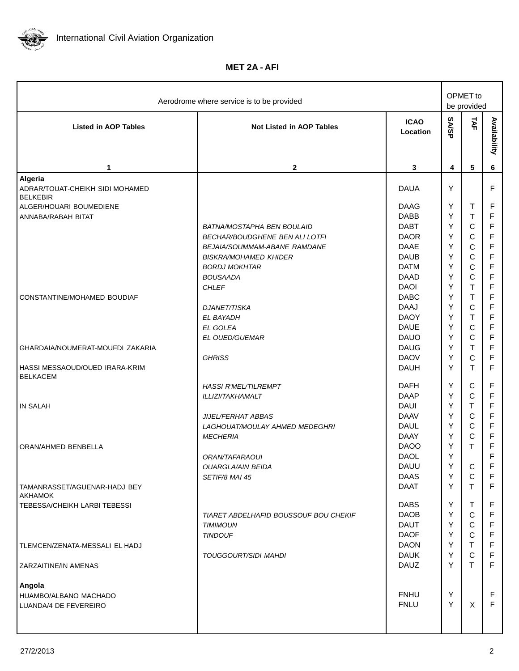

**MET 2A - AFI**

| Aerodrome where service is to be provided                                                |                                                                                                                                                                                                       |                                                                                                                      |                                      | OPMET to<br>be provided                                                                                     |                                                                                                                                  |  |
|------------------------------------------------------------------------------------------|-------------------------------------------------------------------------------------------------------------------------------------------------------------------------------------------------------|----------------------------------------------------------------------------------------------------------------------|--------------------------------------|-------------------------------------------------------------------------------------------------------------|----------------------------------------------------------------------------------------------------------------------------------|--|
| <b>Listed in AOP Tables</b>                                                              | <b>Not Listed in AOP Tables</b>                                                                                                                                                                       | <b>ICAO</b><br>Location                                                                                              | <b>SA/SP</b>                         | TAF                                                                                                         | Availability                                                                                                                     |  |
| 1                                                                                        | $\mathbf{2}$                                                                                                                                                                                          | 3                                                                                                                    | 4                                    | 5                                                                                                           | 6                                                                                                                                |  |
| Algeria<br>ADRAR/TOUAT-CHEIKH SIDI MOHAMED<br><b>BELKEBIR</b><br>ALGER/HOUARI BOUMEDIENE |                                                                                                                                                                                                       | <b>DAUA</b><br><b>DAAG</b>                                                                                           | Y<br>Y                               | Т                                                                                                           | F<br>F                                                                                                                           |  |
| ANNABA/RABAH BITAT                                                                       | BATNA/MOSTAPHA BEN BOULAID<br><b>BECHAR/BOUDGHENE BEN ALI LOTFI</b><br><b>BEJAIA/SOUMMAM-ABANE RAMDANE</b><br><b>BISKRA/MOHAMED KHIDER</b><br><b>BORDJ MOKHTAR</b><br><b>BOUSAADA</b><br><b>CHLEF</b> | <b>DABB</b><br><b>DABT</b><br><b>DAOR</b><br><b>DAAE</b><br><b>DAUB</b><br><b>DATM</b><br><b>DAAD</b><br><b>DAOI</b> | Υ<br>Υ<br>Υ<br>Υ<br>Υ<br>Υ<br>Υ<br>Y | $\top$<br>$\mathsf C$<br>$\mathsf C$<br>$\mathsf C$<br>$\mathsf C$<br>$\mathsf C$<br>$\mathsf{C}$<br>$\top$ | $\mathsf F$<br>$\mathsf F$<br>$\mathsf F$<br>$\mathsf F$<br>$\overline{\mathsf{F}}$<br>$\mathsf F$<br>$\mathsf F$<br>$\mathsf F$ |  |
| CONSTANTINE/MOHAMED BOUDIAF                                                              | <b>DJANET/TISKA</b><br>EL BAYADH<br>EL GOLEA<br>EL OUED/GUEMAR                                                                                                                                        | <b>DABC</b><br><b>DAAJ</b><br><b>DAOY</b><br><b>DAUE</b><br><b>DAUO</b>                                              | Y<br>Y<br>Y<br>Y<br>Y                | $\top$<br>$\mathsf C$<br>$\sf T$<br>$\mathsf C$<br>$\mathsf C$                                              | $\mathsf F$<br>F<br>$\mathsf F$<br>F<br>$\mathsf F$                                                                              |  |
| GHARDAIA/NOUMERAT-MOUFDI ZAKARIA<br>HASSI MESSAOUD/OUED IRARA-KRIM<br><b>BELKACEM</b>    | <b>GHRISS</b>                                                                                                                                                                                         | <b>DAUG</b><br><b>DAOV</b><br><b>DAUH</b>                                                                            | Y<br>Υ<br>Υ                          | $\top$<br>$\mathsf C$<br>T                                                                                  | $\mathsf F$<br>F<br>$\mathsf F$                                                                                                  |  |
| <b>IN SALAH</b><br>ORAN/AHMED BENBELLA                                                   | <b>HASSI R'MEL/TILREMPT</b><br>ILLIZI/TAKHAMALT<br>JIJEL/FERHAT ABBAS<br>LAGHOUAT/MOULAY AHMED MEDEGHRI<br><b>MECHERIA</b>                                                                            | <b>DAFH</b><br><b>DAAP</b><br><b>DAUI</b><br><b>DAAV</b><br><b>DAUL</b><br><b>DAAY</b><br><b>DAOO</b>                | Y<br>Y<br>Y<br>Y<br>Y<br>Y<br>Y      | С<br>$\mathsf C$<br>T<br>$\mathbf C$<br>$\mathsf C$<br>$\mathsf C$<br>T                                     | F<br>$\mathsf F$<br>F<br>F<br>F<br>F<br>F                                                                                        |  |
| TAMANRASSET/AGUENAR-HADJ BEY                                                             | ORAN/TAFARAOUI<br><b>OUARGLA/AIN BEIDA</b><br>SETIF/8 MAI 45                                                                                                                                          | <b>DAOL</b><br><b>DAUU</b><br><b>DAAS</b><br>DAAT                                                                    | Y<br>Y<br>Y<br>Y                     | C<br>$\mathbf C$<br>T.                                                                                      | F<br>F<br>F<br>F                                                                                                                 |  |
| <b>AKHAMOK</b><br>TEBESSA/CHEIKH LARBI TEBESSI                                           | TIARET ABDELHAFID BOUSSOUF BOU CHEKIF<br><b>TIMIMOUN</b><br><b>TINDOUF</b>                                                                                                                            | <b>DABS</b><br><b>DAOB</b><br><b>DAUT</b><br><b>DAOF</b>                                                             | Y<br>Y<br>Y<br>Y                     | T.<br>$\mathsf{C}$<br>$\mathsf{C}$<br>$\mathsf{C}$                                                          | F<br>$\mathsf F$<br>$\mathsf F$<br>$\mathsf F$                                                                                   |  |
| TLEMCEN/ZENATA-MESSALI EL HADJ<br>ZARZAITINE/IN AMENAS                                   | TOUGGOURT/SIDI MAHDI                                                                                                                                                                                  | <b>DAON</b><br><b>DAUK</b><br><b>DAUZ</b>                                                                            | Y<br>Y<br>Y                          | T.<br>$\mathsf C$<br>$\mathsf{T}$                                                                           | $\mathsf F$<br>$\mathsf F$<br>F                                                                                                  |  |
| Angola<br>HUAMBO/ALBANO MACHADO<br>LUANDA/4 DE FEVEREIRO                                 |                                                                                                                                                                                                       | <b>FNHU</b><br><b>FNLU</b>                                                                                           | Y<br>Y                               | X                                                                                                           | F<br>F                                                                                                                           |  |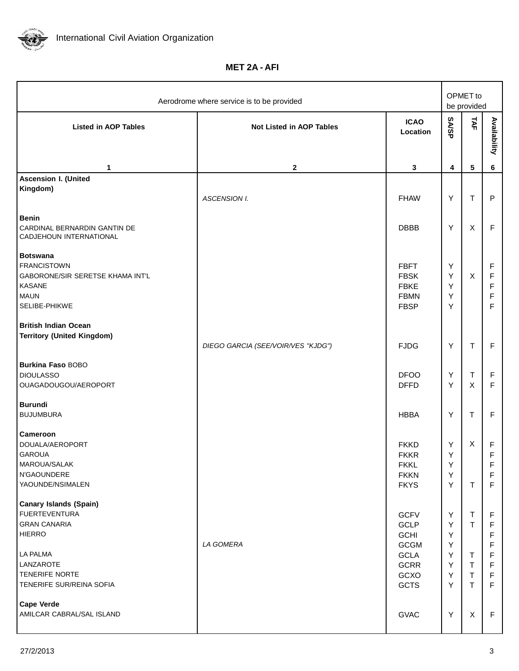

**MET 2A - AFI**

| Aerodrome where service is to be provided                                                                                         |                                    |                                                                         |                       | OPMET to<br>be provided                        |                                                          |
|-----------------------------------------------------------------------------------------------------------------------------------|------------------------------------|-------------------------------------------------------------------------|-----------------------|------------------------------------------------|----------------------------------------------------------|
| <b>Listed in AOP Tables</b>                                                                                                       | <b>Not Listed in AOP Tables</b>    | <b>ICAO</b><br>Location                                                 | <b>SA/SP</b>          | TAF                                            | Availability                                             |
| 1                                                                                                                                 | $\mathbf{2}$                       | 3                                                                       | 4                     | $\sqrt{5}$                                     | 6                                                        |
| <b>Ascension I. (United</b><br>Kingdom)                                                                                           | <b>ASCENSION I.</b>                | <b>FHAW</b>                                                             | Υ                     | $\top$                                         | $\mathsf{P}$                                             |
| <b>Benin</b><br>CARDINAL BERNARDIN GANTIN DE<br>CADJEHOUN INTERNATIONAL                                                           |                                    | <b>DBBB</b>                                                             | Y                     | X                                              | $\mathsf F$                                              |
| <b>Botswana</b><br><b>FRANCISTOWN</b><br><b>GABORONE/SIR SERETSE KHAMA INT'L</b><br><b>KASANE</b><br><b>MAUN</b><br>SELIBE-PHIKWE |                                    | <b>FBFT</b><br><b>FBSK</b><br><b>FBKE</b><br><b>FBMN</b><br><b>FBSP</b> | Y<br>Y<br>Y<br>Υ<br>Y | X                                              | F<br>$\mathsf F$<br>$\mathsf F$<br>$\mathsf F$<br>F      |
| <b>British Indian Ocean</b><br><b>Territory (United Kingdom)</b>                                                                  | DIEGO GARCIA (SEE/VOIR/VES "KJDG") | <b>FJDG</b>                                                             | Υ                     | $\sf T$                                        | $\mathsf F$                                              |
| <b>Burkina Faso BOBO</b><br><b>DIOULASSO</b><br>OUAGADOUGOU/AEROPORT                                                              |                                    | <b>DFOO</b><br><b>DFFD</b>                                              | Y<br>Υ                | $\top$<br>X                                    | F<br>F                                                   |
| <b>Burundi</b><br><b>BUJUMBURA</b>                                                                                                |                                    | <b>HBBA</b>                                                             | Y                     | T                                              | F                                                        |
| <b>Cameroon</b><br>DOUALA/AEROPORT<br><b>GAROUA</b><br>MAROUA/SALAK<br>N'GAOUNDERE<br>YAOUNDE/NSIMALEN                            |                                    | <b>FKKD</b><br><b>FKKR</b><br><b>FKKL</b><br><b>FKKN</b><br><b>FKYS</b> | Y<br>Υ<br>Y<br>Y<br>Y | X<br>$\mathsf{T}$                              | F<br>$\mathsf F$<br>۳<br>$\mathsf F$<br>$\mathsf F$      |
| <b>Canary Islands (Spain)</b><br><b>FUERTEVENTURA</b><br><b>GRAN CANARIA</b><br><b>HIERRO</b>                                     | LA GOMERA                          | <b>GCFV</b><br>GCLP<br><b>GCHI</b><br><b>GCGM</b>                       | Y<br>Y<br>Y<br>Y      | T<br>T                                         | F<br>$\mathsf F$<br>F<br>F                               |
| LA PALMA<br>LANZAROTE<br>TENERIFE NORTE<br>TENERIFE SUR/REINA SOFIA                                                               |                                    | <b>GCLA</b><br><b>GCRR</b><br>GCXO<br><b>GCTS</b>                       | Y<br>Y<br>Y<br>Y      | T<br>$\mathsf T$<br>$\mathsf T$<br>$\mathsf T$ | $\mathsf F$<br>$\mathsf F$<br>$\mathsf F$<br>$\mathsf F$ |
| <b>Cape Verde</b><br>AMILCAR CABRAL/SAL ISLAND                                                                                    |                                    | <b>GVAC</b>                                                             | Y                     | X                                              | $\mathsf F$                                              |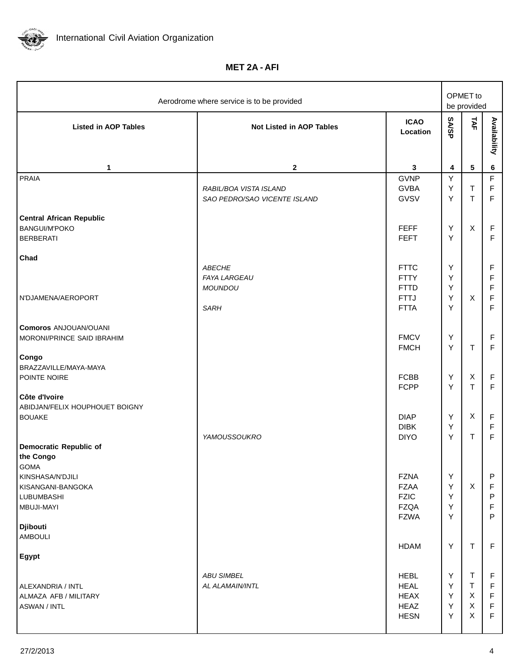

**MET 2A - AFI**

| Aerodrome where service is to be provided                                                                   |                                                                       |                                                                         |                       | OPMET to<br>be provided |                                                        |  |
|-------------------------------------------------------------------------------------------------------------|-----------------------------------------------------------------------|-------------------------------------------------------------------------|-----------------------|-------------------------|--------------------------------------------------------|--|
| <b>Listed in AOP Tables</b>                                                                                 | <b>Not Listed in AOP Tables</b>                                       | <b>ICAO</b><br>Location                                                 | <b>SA/SP</b>          | TAF                     | Availability                                           |  |
| 1                                                                                                           | $\mathbf{2}$                                                          | 3                                                                       | 4                     | $\sqrt{5}$              | 6                                                      |  |
| <b>PRAIA</b><br><b>Central African Republic</b>                                                             | RABIL/BOA VISTA ISLAND<br>SAO PEDRO/SAO VICENTE ISLAND                | <b>GVNP</b><br><b>GVBA</b><br><b>GVSV</b>                               | Y<br>Y<br>Y           | $\sf T$<br>$\top$       | $\mathsf F$<br>$\mathsf F$<br>$\mathsf F$              |  |
| <b>BANGUI/M'POKO</b><br><b>BERBERATI</b>                                                                    |                                                                       | <b>FEFF</b><br><b>FEFT</b>                                              | Υ<br>Y                | X                       | F<br>F                                                 |  |
| Chad<br>N'DJAMENA/AEROPORT                                                                                  | <b>ABECHE</b><br><b>FAYA LARGEAU</b><br><b>MOUNDOU</b><br><b>SARH</b> | <b>FTTC</b><br><b>FTTY</b><br><b>FTTD</b><br><b>FTTJ</b><br><b>FTTA</b> | Υ<br>Υ<br>Y<br>Υ<br>Υ | X                       | F<br>F<br>$\mathsf F$<br>$\mathsf F$<br>$\overline{F}$ |  |
| <b>Comoros ANJOUAN/OUANI</b><br>MORONI/PRINCE SAID IBRAHIM                                                  |                                                                       | <b>FMCV</b><br><b>FMCH</b>                                              | Υ<br>Y                | $\sf T$                 | F<br>$\mathsf F$                                       |  |
| Congo<br>BRAZZAVILLE/MAYA-MAYA<br>POINTE NOIRE                                                              |                                                                       | <b>FCBB</b><br><b>FCPP</b>                                              | Υ<br>Υ                | X<br>$\top$             | $\mathsf F$<br>F                                       |  |
| Côte d'Ivoire<br>ABIDJAN/FELIX HOUPHOUET BOIGNY<br><b>BOUAKE</b><br><b>Democratic Republic of</b>           | YAMOUSSOUKRO                                                          | <b>DIAP</b><br><b>DIBK</b><br><b>DIYO</b>                               | Y<br>Υ<br>Υ           | X<br>T                  | $\mathsf F$<br>$\mathsf F$<br>$\overline{\mathsf{F}}$  |  |
| the Congo<br><b>GOMA</b><br>KINSHASA/N'DJILI<br>KISANGANI-BANGOKA<br><b>LUBUMBASHI</b><br><b>MBUJI-MAYI</b> |                                                                       | <b>FZNA</b><br><b>FZAA</b><br><b>FZIC</b><br><b>FZQA</b>                | Y<br>Y<br>Y<br>Y      | X                       | P<br>F<br>P<br>F                                       |  |
| <b>Djibouti</b><br><b>AMBOULI</b>                                                                           |                                                                       | <b>FZWA</b>                                                             | Y<br>Y                | $\top$                  | P<br>F                                                 |  |
| <b>Egypt</b>                                                                                                |                                                                       | <b>HDAM</b>                                                             |                       |                         |                                                        |  |
| ALEXANDRIA / INTL<br>ALMAZA AFB / MILITARY<br><b>ASWAN / INTL</b>                                           | <b>ABU SIMBEL</b><br>AL ALAMAIN/INTL                                  | <b>HEBL</b><br><b>HEAL</b><br><b>HEAX</b><br>HEAZ<br><b>HESN</b>        | Y<br>Y<br>Y<br>Υ<br>Y | Τ<br>T<br>X<br>X<br>X   | F<br>F<br>$\mathsf F$<br>$\mathsf F$<br>$\mathsf F$    |  |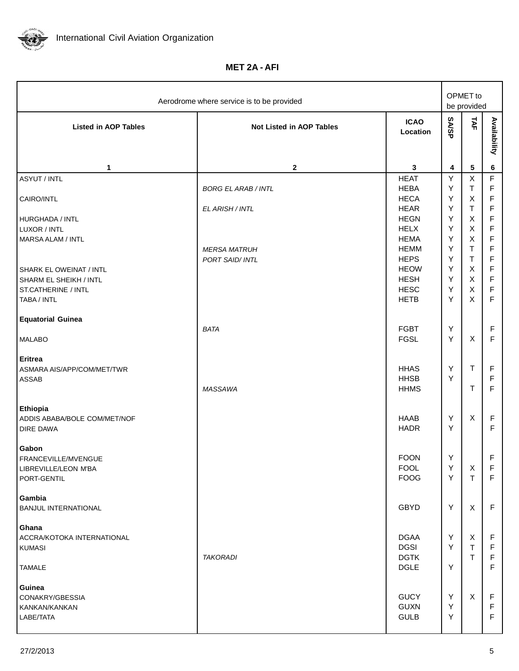

**MET 2A - AFI**

| Aerodrome where service is to be provided                           |                                               |                                                          |                  | OPMET to<br>be provided                                  |                                                          |  |
|---------------------------------------------------------------------|-----------------------------------------------|----------------------------------------------------------|------------------|----------------------------------------------------------|----------------------------------------------------------|--|
| <b>Listed in AOP Tables</b>                                         | <b>Not Listed in AOP Tables</b>               | <b>ICAO</b><br>Location                                  | <b>SASP</b>      | TAF                                                      | Availability                                             |  |
| 1                                                                   | $\mathbf{2}$                                  | 3                                                        | 4                | $\sqrt{5}$                                               | 6                                                        |  |
| <b>ASYUT / INTL</b>                                                 |                                               | <b>HEAT</b>                                              | Y                | $\pmb{\times}$                                           | $\mathsf F$                                              |  |
| CAIRO/INTL                                                          | <b>BORG EL ARAB / INTL</b><br>EL ARISH / INTL | <b>HEBA</b><br><b>HECA</b><br><b>HEAR</b>                | Y<br>Υ<br>Υ      | $\mathsf T$<br>$\mathsf X$<br>$\mathsf T$                | $\mathsf F$<br>$\mathsf F$<br>$\mathsf F$                |  |
| HURGHADA / INTL                                                     |                                               | <b>HEGN</b>                                              | Υ                | $\mathsf X$                                              | $\mathsf F$                                              |  |
| LUXOR / INTL                                                        |                                               | <b>HELX</b>                                              | Y                | $\mathsf X$                                              | $\mathsf F$                                              |  |
| <b>MARSA ALAM / INTL</b><br>SHARK EL OWEINAT / INTL                 | <b>MERSA MATRUH</b><br>PORT SAID/ INTL        | <b>HEMA</b><br><b>HEMM</b><br><b>HEPS</b><br><b>HEOW</b> | Y<br>Υ<br>Υ<br>Υ | $\mathsf X$<br>$\mathsf T$<br>$\mathsf T$<br>$\mathsf X$ | $\mathsf F$<br>$\mathsf F$<br>$\mathsf F$<br>$\mathsf F$ |  |
| <b>SHARM EL SHEIKH / INTL</b>                                       |                                               | <b>HESH</b>                                              | Υ                | $\mathsf{X}$                                             | $\mathsf F$                                              |  |
| ST.CATHERINE / INTL<br>TABA / INTL                                  |                                               | <b>HESC</b><br><b>HETB</b>                               | Υ<br>Υ           | $\mathsf{X}$<br>X                                        | $\mathsf F$<br>$\mathsf F$                               |  |
| <b>Equatorial Guinea</b>                                            | <b>BATA</b>                                   | <b>FGBT</b>                                              | Υ                |                                                          | F                                                        |  |
| <b>MALABO</b>                                                       |                                               | <b>FGSL</b>                                              | Υ                | X                                                        | $\mathsf F$                                              |  |
| Eritrea<br>ASMARA AIS/APP/COM/MET/TWR<br>ASSAB                      | MASSAWA                                       | <b>HHAS</b><br><b>HHSB</b><br><b>HHMS</b>                | Y<br>Y           | $\top$<br>$\top$                                         | $\mathsf F$<br>F<br>F                                    |  |
| Ethiopia<br>ADDIS ABABA/BOLE COM/MET/NOF<br>DIRE DAWA               |                                               | <b>HAAB</b><br><b>HADR</b>                               | Υ<br>Y           | $\pmb{\times}$                                           | $\mathsf F$<br>F                                         |  |
| Gabon<br>FRANCEVILLE/MVENGUE<br>LIBREVILLE/LEON M'BA<br>PORT-GENTIL |                                               | <b>FOON</b><br><b>FOOL</b><br><b>FOOG</b>                | Y<br>Y<br>Y      | X<br>T                                                   | F<br>F<br>F                                              |  |
| Gambia<br><b>BANJUL INTERNATIONAL</b>                               |                                               | <b>GBYD</b>                                              | Y                | $\pmb{\times}$                                           | $\mathsf F$                                              |  |
| Ghana<br>ACCRA/KOTOKA INTERNATIONAL<br><b>KUMASI</b>                | <b>TAKORADI</b>                               | <b>DGAA</b><br><b>DGSI</b><br><b>DGTK</b>                | Y<br>Y           | X<br>$\mathsf T$<br>$\mathsf{T}$                         | $\mathsf F$<br>F<br>F                                    |  |
| <b>TAMALE</b>                                                       |                                               | <b>DGLE</b>                                              | Y                |                                                          | F                                                        |  |
| Guinea<br>CONAKRY/GBESSIA<br>KANKAN/KANKAN<br>LABE/TATA             |                                               | <b>GUCY</b><br><b>GUXN</b><br><b>GULB</b>                | Y<br>Y<br>Y      | X                                                        | F<br>F<br>$\mathsf F$                                    |  |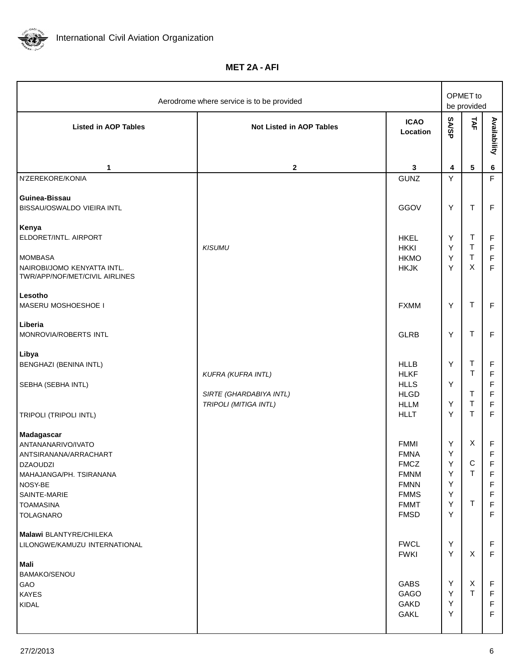

**MET 2A - AFI**

| Aerodrome where service is to be provided                                                                                                                                  |                                                  |                                                                                                                      |                                       | OPMET to<br>be provided                                     |                                                |  |
|----------------------------------------------------------------------------------------------------------------------------------------------------------------------------|--------------------------------------------------|----------------------------------------------------------------------------------------------------------------------|---------------------------------------|-------------------------------------------------------------|------------------------------------------------|--|
| <b>Listed in AOP Tables</b>                                                                                                                                                | <b>Not Listed in AOP Tables</b>                  | <b>ICAO</b><br>Location                                                                                              | <b>SASP</b>                           | TAF                                                         | Availability                                   |  |
| 1                                                                                                                                                                          | $\mathbf{2}$                                     | 3                                                                                                                    | 4                                     | $\sqrt{5}$                                                  | $\bf 6$                                        |  |
| N'ZEREKORE/KONIA                                                                                                                                                           |                                                  | <b>GUNZ</b>                                                                                                          | Y                                     |                                                             | F                                              |  |
| Guinea-Bissau<br>BISSAU/OSWALDO VIEIRA INTL                                                                                                                                |                                                  | GGOV                                                                                                                 | Υ                                     | $\top$                                                      | $\mathsf F$                                    |  |
| Kenya<br>ELDORET/INTL. AIRPORT<br><b>MOMBASA</b><br>NAIROBI/JOMO KENYATTA INTL.                                                                                            | <b>KISUMU</b>                                    | <b>HKEL</b><br><b>HKKI</b><br><b>HKMO</b><br><b>HKJK</b>                                                             | Υ<br>Υ<br>Y<br>Y                      | $\sf T$<br>T<br>$\sf T$<br>X                                | F<br>F<br>$\mathsf F$<br>F                     |  |
| TWR/APP/NOF/MET/CIVIL AIRLINES<br>Lesotho<br>MASERU MOSHOESHOE I                                                                                                           |                                                  | <b>FXMM</b>                                                                                                          | Υ                                     | $\mathsf T$                                                 | $\mathsf F$                                    |  |
| Liberia<br>MONROVIA/ROBERTS INTL                                                                                                                                           |                                                  | <b>GLRB</b>                                                                                                          | Y                                     | $\top$                                                      | $\mathsf F$                                    |  |
| Libya<br>BENGHAZI (BENINA INTL)<br>SEBHA (SEBHA INTL)                                                                                                                      | KUFRA (KUFRA INTL)                               | <b>HLLB</b><br><b>HLKF</b><br><b>HLLS</b>                                                                            | Υ<br>Y                                | $\sf T$<br>$\mathsf T$                                      | F<br>$\mathsf F$<br>F                          |  |
| <b>TRIPOLI (TRIPOLI INTL)</b>                                                                                                                                              | SIRTE (GHARDABIYA INTL)<br>TRIPOLI (MITIGA INTL) | <b>HLGD</b><br><b>HLLM</b><br><b>HLLT</b>                                                                            | Υ<br>Y                                | $\top$<br>$\sf T$<br>$\top$                                 | $\mathsf F$<br>$\mathsf F$<br>$\mathsf F$      |  |
| Madagascar<br>ANTANANARIVO/IVATO<br>ANTSIRANANA/ARRACHART<br><b>DZAOUDZI</b><br>MAHAJANGA/PH. TSIRANANA<br>NOSY-BE<br>SAINTE-MARIE<br><b>TOAMASINA</b><br><b>TOLAGNARO</b> |                                                  | <b>FMMI</b><br><b>FMNA</b><br><b>FMCZ</b><br><b>FMNM</b><br><b>FMNN</b><br><b>FMMS</b><br><b>FMMT</b><br><b>FMSD</b> | Y<br>Υ<br>Y.<br>Y<br>Y<br>Υ<br>Y<br>Y | $\pmb{\times}$<br>$\mathsf C$<br>$\mathsf T$<br>$\mathsf T$ | $\mathsf F$<br>F<br>F<br>F<br>F<br>F<br>F<br>F |  |
| Malawi BLANTYRE/CHILEKA<br>LILONGWE/KAMUZU INTERNATIONAL<br>Mali                                                                                                           |                                                  | <b>FWCL</b><br><b>FWKI</b>                                                                                           | Y<br>Y                                | X                                                           | F<br>$\mathsf F$                               |  |
| <b>BAMAKO/SENOU</b><br>GAO<br><b>KAYES</b><br>KIDAL                                                                                                                        |                                                  | <b>GABS</b><br><b>GAGO</b><br><b>GAKD</b><br><b>GAKL</b>                                                             | Y<br>Y<br>Y<br>Y                      | X<br>$\mathsf{T}$                                           | F<br>F<br>F<br>F                               |  |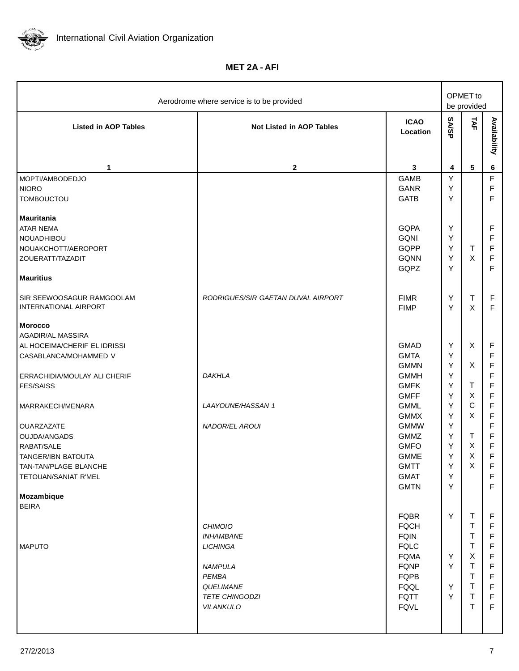

**MET 2A - AFI**

| Aerodrome where service is to be provided          |                                    |                            |        | OPMET to<br>be provided |              |
|----------------------------------------------------|------------------------------------|----------------------------|--------|-------------------------|--------------|
| <b>Listed in AOP Tables</b>                        | <b>Not Listed in AOP Tables</b>    | <b>ICAO</b><br>Location    | SASP   | TAF                     | Availability |
| 1                                                  | $\mathbf{2}$                       | 3                          | 4      | $\sqrt{5}$              | 6            |
| MOPTI/AMBODEDJO                                    |                                    | <b>GAMB</b>                | Υ      |                         | F            |
| <b>NIORO</b>                                       |                                    | <b>GANR</b>                | Υ      |                         | F            |
| <b>TOMBOUCTOU</b>                                  |                                    | <b>GATB</b>                | Y      |                         | F            |
| <b>Mauritania</b>                                  |                                    |                            |        |                         |              |
| <b>ATAR NEMA</b>                                   |                                    | <b>GQPA</b>                | Υ      |                         | F            |
| <b>NOUADHIBOU</b>                                  |                                    | <b>GQNI</b>                | Υ      |                         | F            |
| NOUAKCHOTT/AEROPORT                                |                                    | GQPP                       | Y      | $\mathsf T$             | F            |
| ZOUERATT/TAZADIT                                   |                                    | <b>GQNN</b>                | Y      | X                       | F            |
| <b>Mauritius</b>                                   |                                    | GQPZ                       | Y      |                         | F            |
| SIR SEEWOOSAGUR RAMGOOLAM<br>INTERNATIONAL AIRPORT | RODRIGUES/SIR GAETAN DUVAL AIRPORT | <b>FIMR</b><br><b>FIMP</b> | Υ<br>Y | $\sf T$<br>$\mathsf{X}$ | F<br>F       |
| <b>Morocco</b>                                     |                                    |                            |        |                         |              |
| AGADIR/AL MASSIRA                                  |                                    |                            |        |                         |              |
| AL HOCEIMA/CHERIF EL IDRISSI                       |                                    | <b>GMAD</b>                | Υ      | X                       | F            |
| CASABLANCA/MOHAMMED V                              |                                    | <b>GMTA</b>                | Υ      |                         | F            |
|                                                    |                                    | <b>GMMN</b>                | Υ      | X                       | F            |
| ERRACHIDIA/MOULAY ALI CHERIF                       | <b>DAKHLA</b>                      | <b>GMMH</b>                | Υ      |                         | F            |
| <b>FES/SAISS</b>                                   |                                    | <b>GMFK</b>                | Υ      | T                       | F            |
|                                                    |                                    | <b>GMFF</b>                | Υ      | X                       | F            |
| MARRAKECH/MENARA                                   | <b>LAAYOUNE/HASSAN 1</b>           | <b>GMML</b>                | Υ      | $\mathbf C$             | F            |
|                                                    |                                    | <b>GMMX</b>                | Y      | X                       | F            |
| OUARZAZATE                                         | NADOR/EL AROUI                     | <b>GMMW</b>                | Υ      |                         | F            |
| OUJDA/ANGADS                                       |                                    | <b>GMMZ</b>                | Y      | T                       | F            |
| RABAT/SALE                                         |                                    | <b>GMFO</b>                | Υ      | X                       | F            |
| <b>TANGER/IBN BATOUTA</b>                          |                                    | <b>GMME</b>                | Y      | X                       | F            |
| TAN-TAN/PLAGE BLANCHE                              |                                    | <b>GMTT</b>                | Υ      | X                       | F            |
| TETOUAN/SANIAT R'MEL                               |                                    | <b>GMAT</b><br><b>GMTN</b> | Y<br>Y |                         | F<br>F       |
| Mozambique                                         |                                    |                            |        |                         |              |
| <b>BEIRA</b>                                       |                                    | <b>FQBR</b>                | Υ      | $\mathsf T$             | F            |
|                                                    | <b>CHIMOIO</b>                     | <b>FQCH</b>                |        | T                       | F            |
|                                                    | <b>INHAMBANE</b>                   | <b>FQIN</b>                |        | т                       | F            |
| <b>MAPUTO</b>                                      | <b>LICHINGA</b>                    | <b>FQLC</b>                |        | т                       | F            |
|                                                    |                                    | <b>FQMA</b>                | Υ      | X                       | F            |
|                                                    | <b>NAMPULA</b>                     | <b>FQNP</b>                | Υ      | T                       | F            |
|                                                    | PEMBA                              | <b>FQPB</b>                |        | т                       | F            |
|                                                    | QUELIMANE                          | <b>FQQL</b>                | Υ      | $\mathsf{T}$            | F            |
|                                                    | <b>TETE CHINGODZI</b>              | <b>FQTT</b>                | Υ      | т                       | F            |
|                                                    | <b>VILANKULO</b>                   | <b>FQVL</b>                |        | $\mathsf{T}$            | $\mathsf F$  |
|                                                    |                                    |                            |        |                         |              |
|                                                    |                                    |                            |        |                         |              |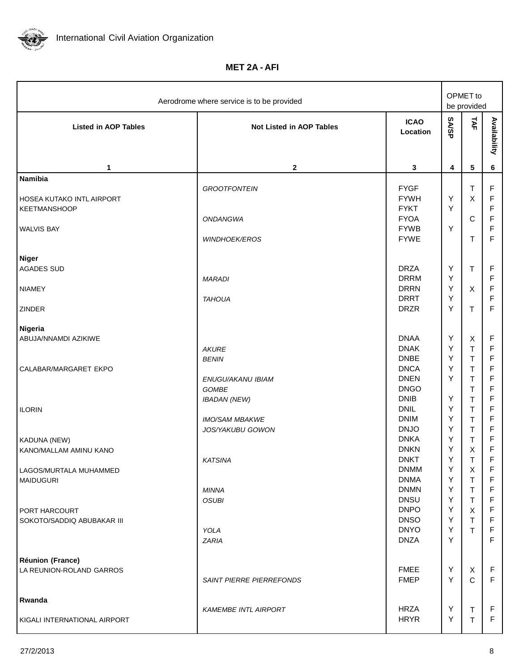

**MET 2A - AFI**

| Aerodrome where service is to be provided                                               |                                                                  |                                                                                                       |                                 | OPMET to<br>be provided                                            |                                                                         |  |
|-----------------------------------------------------------------------------------------|------------------------------------------------------------------|-------------------------------------------------------------------------------------------------------|---------------------------------|--------------------------------------------------------------------|-------------------------------------------------------------------------|--|
| <b>Listed in AOP Tables</b>                                                             | <b>Not Listed in AOP Tables</b>                                  | <b>ICAO</b><br>Location                                                                               | <b>SA/SP</b>                    | TAF                                                                | Availability                                                            |  |
| 1                                                                                       | $\mathbf{2}$                                                     | 3                                                                                                     | 4                               | ${\bf 5}$                                                          | 6                                                                       |  |
| <b>Namibia</b><br><b>HOSEA KUTAKO INTL AIRPORT</b><br>KEETMANSHOOP<br><b>WALVIS BAY</b> | <b>GROOTFONTEIN</b><br>ONDANGWA<br><b>WINDHOEK/EROS</b>          | <b>FYGF</b><br><b>FYWH</b><br><b>FYKT</b><br><b>FYOA</b><br><b>FYWB</b><br><b>FYWE</b>                | Υ<br>Υ<br>Υ                     | $\top$<br>X<br>$\mathbf C$<br>T                                    | F<br>F<br>F<br>F<br>$\mathsf F$<br>F                                    |  |
| Niger<br><b>AGADES SUD</b><br><b>NIAMEY</b><br><b>ZINDER</b>                            | <b>MARADI</b><br><b>TAHOUA</b>                                   | <b>DRZA</b><br><b>DRRM</b><br><b>DRRN</b><br><b>DRRT</b><br><b>DRZR</b>                               | Υ<br>Υ<br>Υ<br>Υ<br>Y           | $\top$<br>X<br>$\mathsf{T}$                                        | F<br>F<br>F<br>F<br>F                                                   |  |
| Nigeria<br>ABUJA/NNAMDI AZIKIWE<br>CALABAR/MARGARET EKPO                                | <b>AKURE</b><br><b>BENIN</b><br>ENUGU/AKANU IBIAM<br>GOMBE       | <b>DNAA</b><br><b>DNAK</b><br><b>DNBE</b><br><b>DNCA</b><br><b>DNEN</b><br><b>DNGO</b><br><b>DNIB</b> | Υ<br>Υ<br>Υ<br>Υ<br>Υ<br>Y      | X<br>T<br>Τ<br>Τ<br>Τ<br>T                                         | F<br>F<br>F<br>F<br>F<br>F<br>F                                         |  |
| <b>ILORIN</b>                                                                           | <b>IBADAN (NEW)</b><br><b>IMO/SAM MBAKWE</b><br>JOS/YAKUBU GOWON | <b>DNIL</b><br><b>DNIM</b><br><b>DNJO</b>                                                             | Υ<br>Υ<br>Υ                     | T<br>T<br>T<br>T                                                   | F<br>F<br>$\mathsf F$                                                   |  |
| KADUNA (NEW)<br>KANO/MALLAM AMINU KANO<br>LAGOS/MURTALA MUHAMMED                        | <b>KATSINA</b>                                                   | <b>DNKA</b><br><b>DNKN</b><br><b>DNKT</b><br><b>DNMM</b>                                              | Υ<br>Υ<br>Y<br>Υ                | T<br>X<br>$\top$<br>X                                              | $\mathsf F$<br>$\mathsf F$<br>$\overline{F}$<br>F                       |  |
| <b>MAIDUGURI</b><br>PORT HARCOURT<br>SOKOTO/SADDIQ ABUBAKAR III                         | <b>MINNA</b><br><b>OSUBI</b><br>YOLA<br><b>ZARIA</b>             | <b>DNMA</b><br><b>DNMN</b><br><b>DNSU</b><br><b>DNPO</b><br><b>DNSO</b><br><b>DNYO</b><br><b>DNZA</b> | Y<br>Y<br>Y<br>Y<br>Υ<br>Υ<br>Y | $\mathsf T$<br>$\mathsf T$<br>$\mathsf T$<br>X<br>$\mathsf T$<br>T | F<br>$\mathsf F$<br>$\mathsf F$<br>F<br>$\mathsf F$<br>$\mathsf F$<br>F |  |
| Réunion (France)<br>LA REUNION-ROLAND GARROS                                            | <b>SAINT PIERRE PIERREFONDS</b>                                  | <b>FMEE</b><br><b>FMEP</b>                                                                            | Y<br>Y                          | X<br>$\mathsf{C}$                                                  | $\mathsf F$<br>$\mathsf F$                                              |  |
| Rwanda<br>KIGALI INTERNATIONAL AIRPORT                                                  | <b>KAMEMBE INTL AIRPORT</b>                                      | <b>HRZA</b><br><b>HRYR</b>                                                                            | Υ<br>Υ                          | $\top$<br>$\top$                                                   | F<br>$\mathsf F$                                                        |  |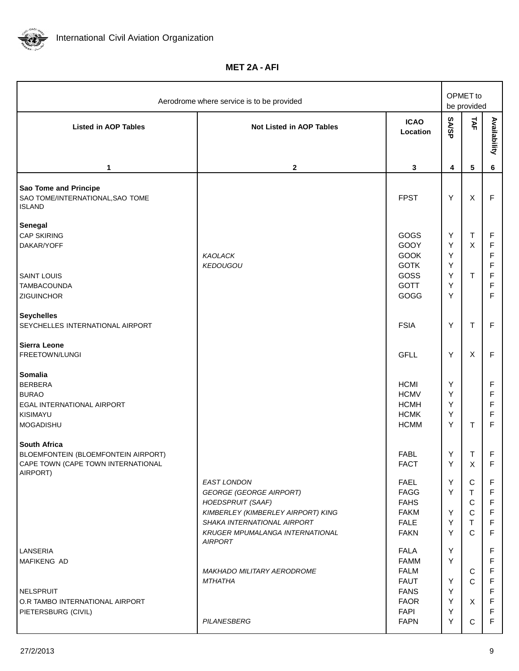

**MET 2A - AFI**

| Aerodrome where service is to be provided                                                                    |                                                                                                                                                                                                                   |                                                                                                                      |                                 | OPMET to<br>be provided                                                     |                                                |
|--------------------------------------------------------------------------------------------------------------|-------------------------------------------------------------------------------------------------------------------------------------------------------------------------------------------------------------------|----------------------------------------------------------------------------------------------------------------------|---------------------------------|-----------------------------------------------------------------------------|------------------------------------------------|
| <b>Listed in AOP Tables</b>                                                                                  | <b>Not Listed in AOP Tables</b>                                                                                                                                                                                   | <b>ICAO</b><br>Location                                                                                              | <b>SA/SP</b>                    | TAF                                                                         | Availability                                   |
| 1                                                                                                            | $\mathbf{2}$                                                                                                                                                                                                      | 3                                                                                                                    | 4                               | 5                                                                           | 6                                              |
| Sao Tome and Principe<br>SAO TOME/INTERNATIONAL, SAO TOME<br><b>ISLAND</b>                                   |                                                                                                                                                                                                                   | <b>FPST</b>                                                                                                          | Υ                               | $\mathsf X$                                                                 | F                                              |
| Senegal<br><b>CAP SKIRING</b><br>DAKAR/YOFF                                                                  | KAOLACK<br><b>KEDOUGOU</b>                                                                                                                                                                                        | GOGS<br>GOOY<br><b>GOOK</b><br><b>GOTK</b>                                                                           | Υ<br>Υ<br>Υ<br>Y                | $\mathsf T$<br>$\pmb{\times}$                                               | F<br>F<br>F<br>F                               |
| <b>SAINT LOUIS</b><br>TAMBACOUNDA<br>ZIGUINCHOR                                                              |                                                                                                                                                                                                                   | GOSS<br><b>GOTT</b><br>GOGG                                                                                          | Y<br>Y<br>Y                     | $\mathsf T$                                                                 | F<br>F<br>F                                    |
| <b>Seychelles</b><br>SEYCHELLES INTERNATIONAL AIRPORT                                                        |                                                                                                                                                                                                                   | <b>FSIA</b>                                                                                                          | Y                               | T                                                                           | F                                              |
| Sierra Leone<br>FREETOWN/LUNGI                                                                               |                                                                                                                                                                                                                   | <b>GFLL</b>                                                                                                          | Y                               | X                                                                           | F                                              |
| <b>Somalia</b><br><b>BERBERA</b><br><b>BURAO</b><br>EGAL INTERNATIONAL AIRPORT<br>KISIMAYU<br>MOGADISHU      |                                                                                                                                                                                                                   | <b>HCMI</b><br><b>HCMV</b><br><b>HCMH</b><br><b>HCMK</b><br><b>HCMM</b>                                              | Y<br>Y<br>Y<br>Υ<br>Υ           | T                                                                           | F<br>F<br>F<br>F<br>F                          |
| <b>South Africa</b><br>BLOEMFONTEIN (BLOEMFONTEIN AIRPORT)<br>CAPE TOWN (CAPE TOWN INTERNATIONAL<br>AIRPORT) |                                                                                                                                                                                                                   | <b>FABL</b><br><b>FACT</b>                                                                                           | Y<br>Υ                          | T<br>X                                                                      | F<br>F                                         |
|                                                                                                              | <b>EAST LONDON</b><br><b>GEORGE (GEORGE AIRPORT)</b><br><b>HOEDSPRUIT (SAAF)</b><br>KIMBERLEY (KIMBERLEY AIRPORT) KING<br>SHAKA INTERNATIONAL AIRPORT<br><b>KRUGER MPUMALANGA INTERNATIONAL</b><br><b>AIRPORT</b> | <b>FAEL</b><br><b>FAGG</b><br><b>FAHS</b><br><b>FAKM</b><br><b>FALE</b><br><b>FAKN</b>                               | Y<br>Y<br>Y<br>Y<br>Y           | ${\bf C}$<br>$\mathsf T$<br>$\mathsf C$<br>$\mathbf C$<br>T<br>$\mathsf{C}$ | F<br>F<br>F<br>F<br>F<br>F                     |
| LANSERIA<br>MAFIKENG AD<br>NELSPRUIT<br>O.R TAMBO INTERNATIONAL AIRPORT<br>PIETERSBURG (CIVIL)               | <b>MAKHADO MILITARY AERODROME</b><br><b>MTHATHA</b><br>PILANESBERG                                                                                                                                                | <b>FALA</b><br><b>FAMM</b><br><b>FALM</b><br><b>FAUT</b><br><b>FANS</b><br><b>FAOR</b><br><b>FAPI</b><br><b>FAPN</b> | Y<br>Y<br>Y<br>Y<br>Y<br>Y<br>Y | $\mathbf C$<br>$\mathsf{C}$<br>X<br>$\mathbf C$                             | F<br>F<br>F<br>F<br>F<br>F<br>F<br>$\mathsf F$ |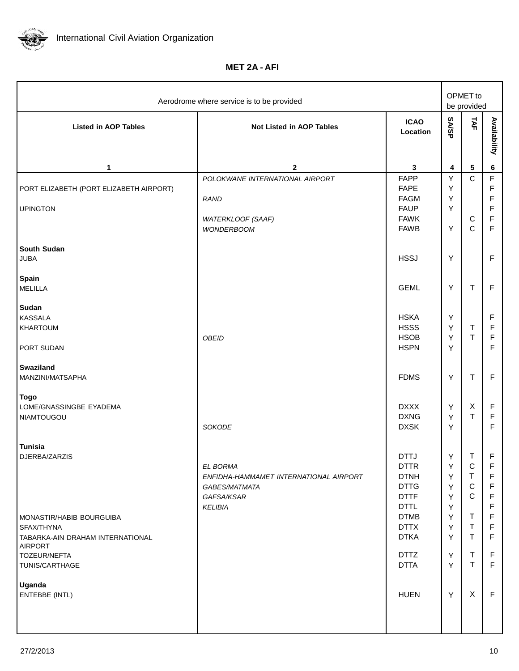

**MET 2A - AFI**

| Aerodrome where service is to be provided                                                           |                                                                                                                                                                                  |                                                          |                                                                                              |                                                                              |  |
|-----------------------------------------------------------------------------------------------------|----------------------------------------------------------------------------------------------------------------------------------------------------------------------------------|----------------------------------------------------------|----------------------------------------------------------------------------------------------|------------------------------------------------------------------------------|--|
| <b>Not Listed in AOP Tables</b>                                                                     | <b>ICAO</b><br>Location                                                                                                                                                          | <b>SASP</b>                                              | TAF                                                                                          | Availability                                                                 |  |
| $\mathbf{2}$                                                                                        |                                                                                                                                                                                  | 4                                                        |                                                                                              | 6                                                                            |  |
| POLOKWANE INTERNATIONAL AIRPORT<br><b>RAND</b><br>WATERKLOOF (SAAF)<br><b>WONDERBOOM</b>            | <b>FAPP</b><br><b>FAPE</b><br><b>FAGM</b><br><b>FAUP</b><br><b>FAWK</b><br><b>FAWB</b>                                                                                           | Υ<br>Υ<br>Υ<br>Y<br>Y                                    | $\mathsf{C}$<br>$\mathsf C$<br>$\mathsf{C}$                                                  | $\mathsf F$<br>F<br>F<br>F<br>$\mathsf F$<br>$\mathsf F$                     |  |
|                                                                                                     | <b>HSSJ</b>                                                                                                                                                                      | Υ                                                        |                                                                                              | $\mathsf F$                                                                  |  |
|                                                                                                     | <b>GEML</b>                                                                                                                                                                      | Υ                                                        | $\mathsf T$                                                                                  | $\mathsf F$                                                                  |  |
| <b>OBEID</b>                                                                                        | <b>HSKA</b><br><b>HSSS</b><br><b>HSOB</b><br><b>HSPN</b>                                                                                                                         | Υ<br>Υ<br>Υ<br>Y                                         | $\mathsf T$<br>$\mathsf T$                                                                   | F<br>$\mathsf F$<br>$\mathsf F$<br>F                                         |  |
|                                                                                                     | <b>FDMS</b>                                                                                                                                                                      | Υ                                                        | $\top$                                                                                       | $\mathsf F$                                                                  |  |
| SOKODE                                                                                              | <b>DXXX</b><br><b>DXNG</b><br><b>DXSK</b>                                                                                                                                        | Υ<br>Υ<br>Υ                                              | $\pmb{\times}$<br>$\mathsf T$                                                                | $\mathsf F$<br>$\mathsf F$<br>F                                              |  |
| EL BORMA<br>ENFIDHA-HAMMAMET INTERNATIONAL AIRPORT<br>GABES/MATMATA<br>GAFSA/KSAR<br><b>KELIBIA</b> | <b>DTTJ</b><br><b>DTTR</b><br><b>DTNH</b><br><b>DTTG</b><br><b>DTTF</b><br><b>DTTL</b><br><b>DTMB</b><br><b>DTTX</b><br><b>DTKA</b><br><b>DTTZ</b><br><b>DTTA</b><br><b>HUEN</b> | Υ<br>Υ<br>Y<br>Y<br>Y<br>Y<br>Y<br>Y<br>Y<br>Y<br>Y<br>Y | $\mathsf T$<br>C<br>т<br>$\mathbf C$<br>C<br>T<br>T<br>$\mathsf{T}$<br>T<br>$\mathsf T$<br>X | F<br>F<br>F<br>F<br>F<br>F<br>F<br>F<br>F<br>F<br>$\mathsf F$<br>$\mathsf F$ |  |
|                                                                                                     |                                                                                                                                                                                  | 3                                                        |                                                                                              | OPMET to<br>be provided<br>${\bf 5}$                                         |  |